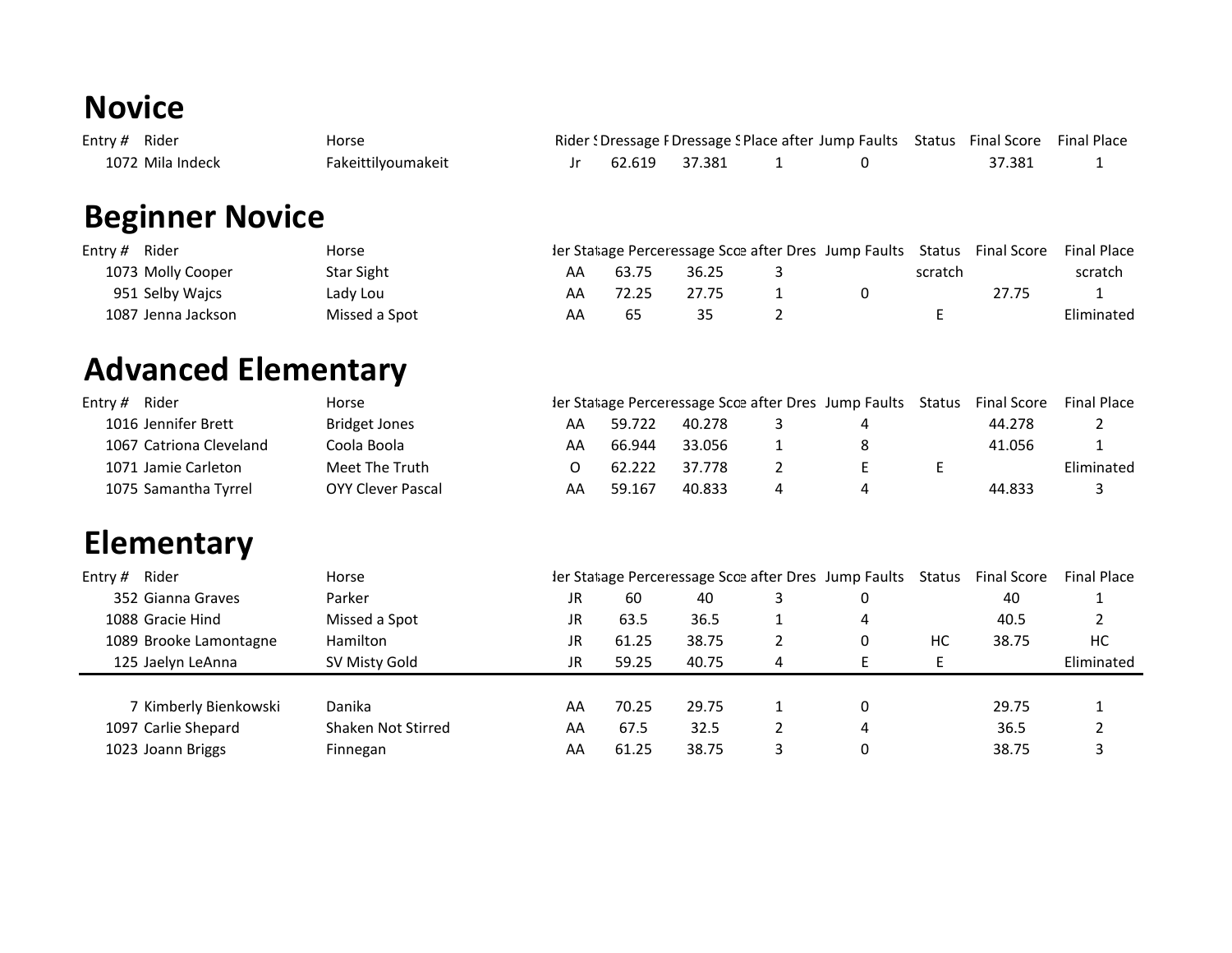#### **Novice**

| Entry # Rider    | Horse              |               |  | Rider ! Dressage F Dressage ! Place after Jump Faults Status Final Score Final Place |        |  |
|------------------|--------------------|---------------|--|--------------------------------------------------------------------------------------|--------|--|
| 1072 Mila Indeck | Fakeittilyoumakeit | 62.619 37.381 |  |                                                                                      | 37.381 |  |

### **Beginner Novice**

| Entry # Rider      | Horse         |    |       |       | der Statage Perceressage Scce after Dres Jump Faults Status Final Score |         |       | Final Place |
|--------------------|---------------|----|-------|-------|-------------------------------------------------------------------------|---------|-------|-------------|
| 1073 Molly Cooper  | Star Sight    | AА | 63.75 | 36.25 |                                                                         | scratch |       | scratch     |
| 951 Selby Wajcs    | Lady Lou      | AA | 72.25 | 27.75 |                                                                         |         | 27.75 |             |
| 1087 Jenna Jackson | Missed a Spot | AA | כס    | 35    |                                                                         |         |       | Eliminated  |

## **Advanced Elementary**

| Entry $#$ | Rider                   | Horse             |    |        | der Statage Perceressage Scce after Dres Jump Faults Status |  | Final Score | <b>Final Place</b> |
|-----------|-------------------------|-------------------|----|--------|-------------------------------------------------------------|--|-------------|--------------------|
|           | 1016 Jennifer Brett     | Bridget Jones     | AA | 59.722 | 40.278                                                      |  | 44.278      |                    |
|           | 1067 Catriona Cleveland | Coola Boola       | AA | 66.944 | 33.056                                                      |  | 41.056      |                    |
|           | 1071 Jamie Carleton     | Meet The Truth    |    | 62.222 | 37.778                                                      |  |             | Eliminated         |
|           | 1075 Samantha Tyrrel    | OYY Clever Pascal | АΑ | 59.167 | 40.833                                                      |  | 44.833      |                    |

### **Elementary**

| Entry # | Rider                  | Horse              |     |       |       |   | der Statiage Perceressage Scce after Dres Jump Faults Status |    | Final Score | <b>Final Place</b> |
|---------|------------------------|--------------------|-----|-------|-------|---|--------------------------------------------------------------|----|-------------|--------------------|
|         | 352 Gianna Graves      | Parker             | JR  | -60   | 40    |   |                                                              |    | 40          |                    |
|         | 1088 Gracie Hind       | Missed a Spot      | JR. | 63.5  | 36.5  |   | 4                                                            |    | 40.5        |                    |
|         | 1089 Brooke Lamontagne | <b>Hamilton</b>    | JR. | 61.25 | 38.75 |   | 0                                                            | HC | 38.75       | НC                 |
|         | 125 Jaelyn LeAnna      | SV Misty Gold      | JR. | 59.25 | 40.75 | 4 |                                                              |    |             | Eliminated         |
|         |                        |                    |     |       |       |   |                                                              |    |             |                    |
|         | 7 Kimberly Bienkowski  | Danika             | AA  | 70.25 | 29.75 |   |                                                              |    | 29.75       |                    |
|         | 1097 Carlie Shepard    | Shaken Not Stirred | AA  | 67.5  | 32.5  |   | 4                                                            |    | 36.5        |                    |
|         | 1023 Joann Briggs      | Finnegan           | AA  | 61.25 | 38.75 |   |                                                              |    | 38.75       |                    |